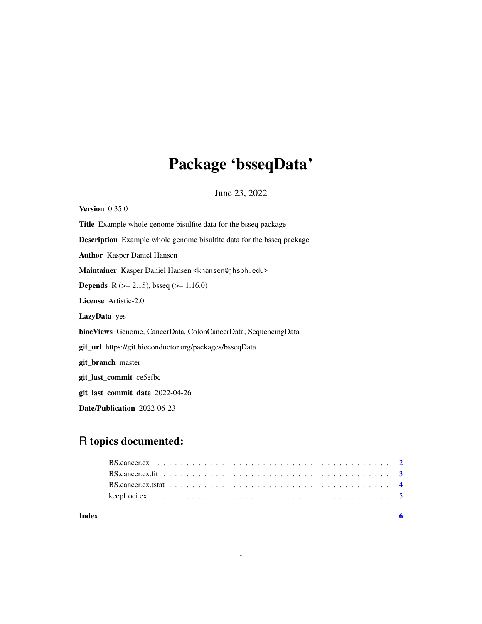## Package 'bsseqData'

June 23, 2022

<span id="page-0-0"></span>Version 0.35.0 Title Example whole genome bisulfite data for the bsseq package Description Example whole genome bisulfite data for the bsseq package Author Kasper Daniel Hansen Maintainer Kasper Daniel Hansen <khansen@jhsph.edu> **Depends** R ( $>= 2.15$ ), bsseq ( $>= 1.16.0$ ) License Artistic-2.0 LazyData yes biocViews Genome, CancerData, ColonCancerData, SequencingData git\_url https://git.bioconductor.org/packages/bsseqData git\_branch master git\_last\_commit ce5efbc git\_last\_commit\_date 2022-04-26 Date/Publication 2022-06-23

### R topics documented:

| Index |  |
|-------|--|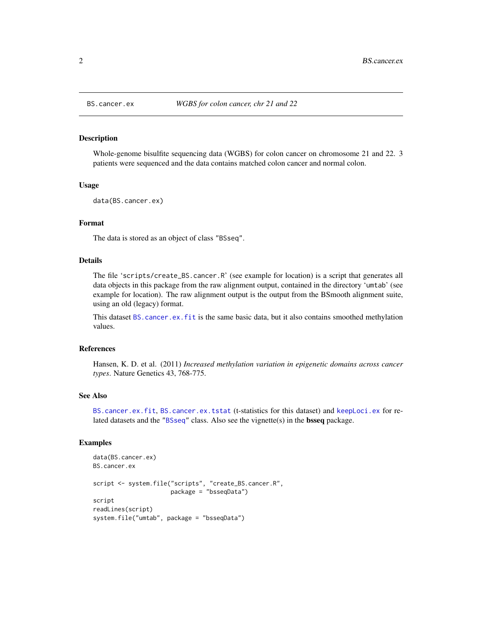#### Description

Whole-genome bisulfite sequencing data (WGBS) for colon cancer on chromosome 21 and 22. 3 patients were sequenced and the data contains matched colon cancer and normal colon.

#### Usage

```
data(BS.cancer.ex)
```
#### Format

The data is stored as an object of class "BSseq".

#### Details

The file 'scripts/create\_BS.cancer.R' (see example for location) is a script that generates all data objects in this package from the raw alignment output, contained in the directory 'umtab' (see example for location). The raw alignment output is the output from the BSmooth alignment suite, using an old (legacy) format.

This dataset [BS.cancer.ex.fit](#page-2-1) is the same basic data, but it also contains smoothed methylation values.

#### References

Hansen, K. D. et al. (2011) *Increased methylation variation in epigenetic domains across cancer types*. Nature Genetics 43, 768-775.

#### See Also

[BS.cancer.ex.fit](#page-2-1), [BS.cancer.ex.tstat](#page-3-1) (t-statistics for this dataset) and [keepLoci.ex](#page-4-1) for related datasets and the ["BSseq"](#page-0-0) class. Also see the vignette(s) in the bsseq package.

```
data(BS.cancer.ex)
BS.cancer.ex
script <- system.file("scripts", "create_BS.cancer.R",
                      package = "bsseqData")
script
readLines(script)
system.file("umtab", package = "bsseqData")
```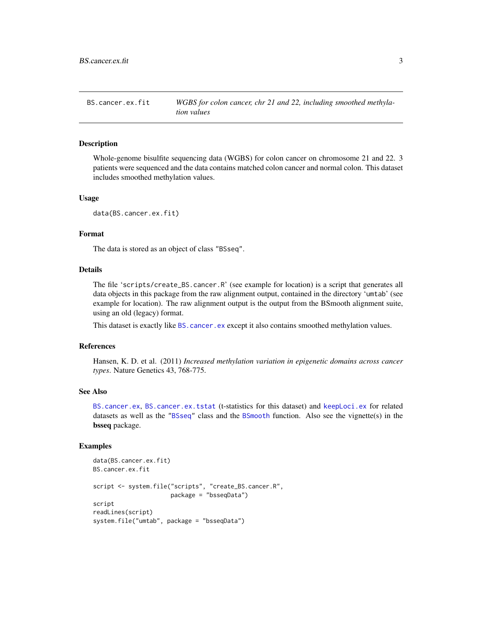<span id="page-2-1"></span><span id="page-2-0"></span>BS.cancer.ex.fit *WGBS for colon cancer, chr 21 and 22, including smoothed methylation values*

#### Description

Whole-genome bisulfite sequencing data (WGBS) for colon cancer on chromosome 21 and 22. 3 patients were sequenced and the data contains matched colon cancer and normal colon. This dataset includes smoothed methylation values.

#### Usage

```
data(BS.cancer.ex.fit)
```
#### Format

The data is stored as an object of class "BSseq".

#### Details

The file 'scripts/create\_BS.cancer.R' (see example for location) is a script that generates all data objects in this package from the raw alignment output, contained in the directory 'umtab' (see example for location). The raw alignment output is the output from the BSmooth alignment suite, using an old (legacy) format.

This dataset is exactly like [BS.cancer.ex](#page-1-1) except it also contains smoothed methylation values.

#### References

Hansen, K. D. et al. (2011) *Increased methylation variation in epigenetic domains across cancer types*. Nature Genetics 43, 768-775.

#### See Also

[BS.cancer.ex](#page-1-1), [BS.cancer.ex.tstat](#page-3-1) (t-statistics for this dataset) and [keepLoci.ex](#page-4-1) for related datasets as well as the ["BSseq"](#page-0-0) class and the [BSmooth](#page-0-0) function. Also see the vignette(s) in the bsseq package.

```
data(BS.cancer.ex.fit)
BS.cancer.ex.fit
script <- system.file("scripts", "create_BS.cancer.R",
                      package = "bsseqData")
script
readLines(script)
system.file("umtab", package = "bsseqData")
```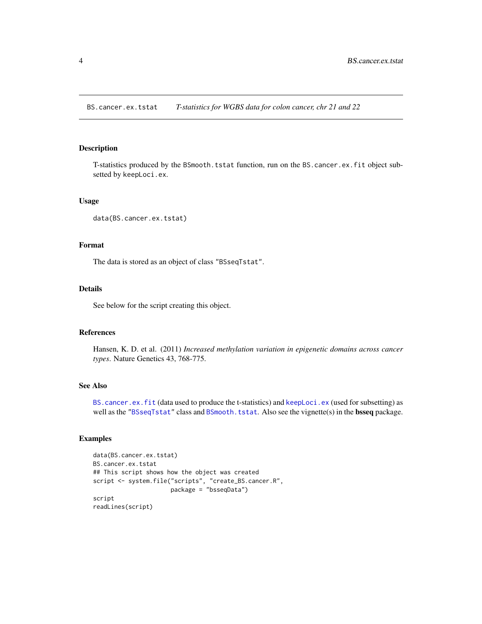<span id="page-3-1"></span><span id="page-3-0"></span>BS.cancer.ex.tstat *T-statistics for WGBS data for colon cancer, chr 21 and 22*

#### Description

T-statistics produced by the BSmooth.tstat function, run on the BS.cancer.ex.fit object subsetted by keepLoci.ex.

#### Usage

```
data(BS.cancer.ex.tstat)
```
#### Format

The data is stored as an object of class "BSseqTstat".

#### Details

See below for the script creating this object.

#### References

Hansen, K. D. et al. (2011) *Increased methylation variation in epigenetic domains across cancer types*. Nature Genetics 43, 768-775.

#### See Also

[BS.cancer.ex.fit](#page-2-1) (data used to produce the t-statistics) and [keepLoci.ex](#page-4-1) (used for subsetting) as well as the ["BSseqTstat"](#page-0-0) class and [BSmooth.tstat](#page-0-0). Also see the vignette(s) in the bsseq package.

```
data(BS.cancer.ex.tstat)
BS.cancer.ex.tstat
## This script shows how the object was created
script <- system.file("scripts", "create_BS.cancer.R",
                      package = "bsseqData")
script
readLines(script)
```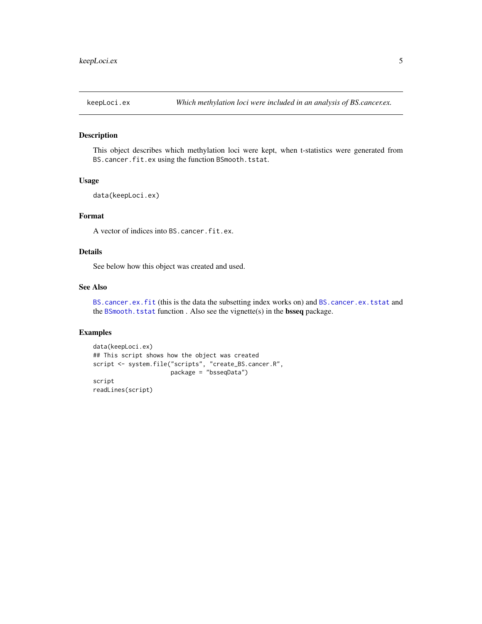<span id="page-4-1"></span><span id="page-4-0"></span>

#### Description

This object describes which methylation loci were kept, when t-statistics were generated from BS.cancer.fit.ex using the function BSmooth.tstat.

#### Usage

data(keepLoci.ex)

#### Format

A vector of indices into BS.cancer.fit.ex.

#### Details

See below how this object was created and used.

#### See Also

[BS.cancer.ex.fit](#page-2-1) (this is the data the subsetting index works on) and [BS.cancer.ex.tstat](#page-3-1) and the [BSmooth.tstat](#page-0-0) function. Also see the vignette(s) in the **bsseq** package.

```
data(keepLoci.ex)
## This script shows how the object was created
script <- system.file("scripts", "create_BS.cancer.R",
                      package = "bsseqData")
script
readLines(script)
```